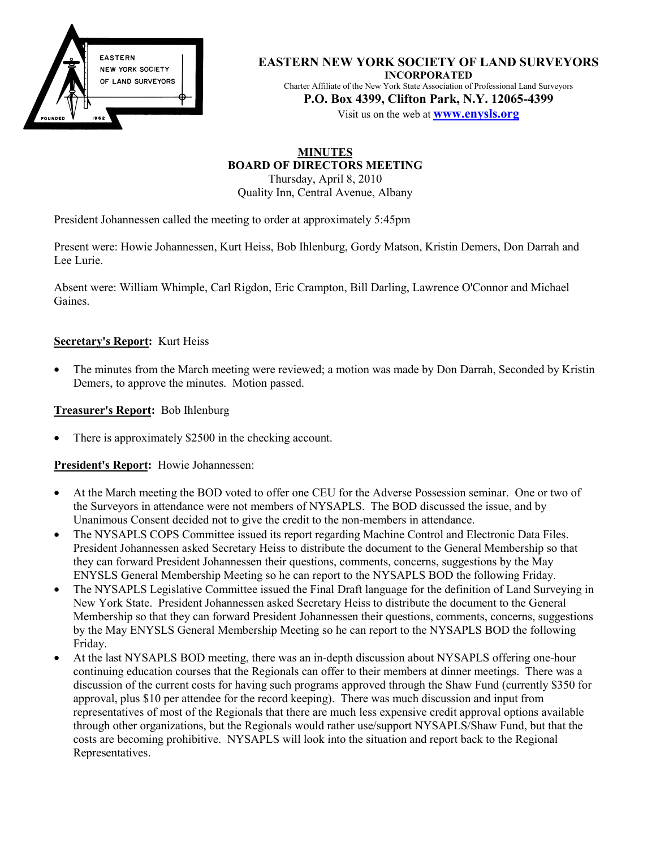

**EASTERN NEW YORK SOCIETY OF LAND SURVEYORS INCORPORATED** Charter Affiliate of the New York State Association of Professional Land Surveyors **P.O. Box 4399, Clifton Park, N.Y. 12065-4399**

Visit us on the web at **www.enysls.org**

# **MINUTES BOARD OF DIRECTORS MEETING**

Thursday, April 8, 2010 Quality Inn, Central Avenue, Albany

President Johannessen called the meeting to order at approximately 5:45pm

Present were: Howie Johannessen, Kurt Heiss, Bob Ihlenburg, Gordy Matson, Kristin Demers, Don Darrah and Lee Lurie.

Absent were: William Whimple, Carl Rigdon, Eric Crampton, Bill Darling, Lawrence O'Connor and Michael Gaines.

### **Secretary's Report:** Kurt Heiss

• The minutes from the March meeting were reviewed; a motion was made by Don Darrah, Seconded by Kristin Demers, to approve the minutes. Motion passed.

**Treasurer's Report:** Bob Ihlenburg

There is approximately \$2500 in the checking account.

**President's Report:** Howie Johannessen:

- At the March meeting the BOD voted to offer one CEU for the Adverse Possession seminar. One or two of the Surveyors in attendance were not members of NYSAPLS. The BOD discussed the issue, and by Unanimous Consent decided not to give the credit to the non-members in attendance.
- The NYSAPLS COPS Committee issued its report regarding Machine Control and Electronic Data Files. President Johannessen asked Secretary Heiss to distribute the document to the General Membership so that they can forward President Johannessen their questions, comments, concerns, suggestions by the May ENYSLS General Membership Meeting so he can report to the NYSAPLS BOD the following Friday.
- The NYSAPLS Legislative Committee issued the Final Draft language for the definition of Land Surveying in New York State. President Johannessen asked Secretary Heiss to distribute the document to the General Membership so that they can forward President Johannessen their questions, comments, concerns, suggestions by the May ENYSLS General Membership Meeting so he can report to the NYSAPLS BOD the following Friday.
- At the last NYSAPLS BOD meeting, there was an in-depth discussion about NYSAPLS offering one-hour continuing education courses that the Regionals can offer to their members at dinner meetings. There was a discussion of the current costs for having such programs approved through the Shaw Fund (currently \$350 for approval, plus \$10 per attendee for the record keeping). There was much discussion and input from representatives of most of the Regionals that there are much less expensive credit approval options available through other organizations, but the Regionals would rather use/support NYSAPLS/Shaw Fund, but that the costs are becoming prohibitive. NYSAPLS will look into the situation and report back to the Regional Representatives.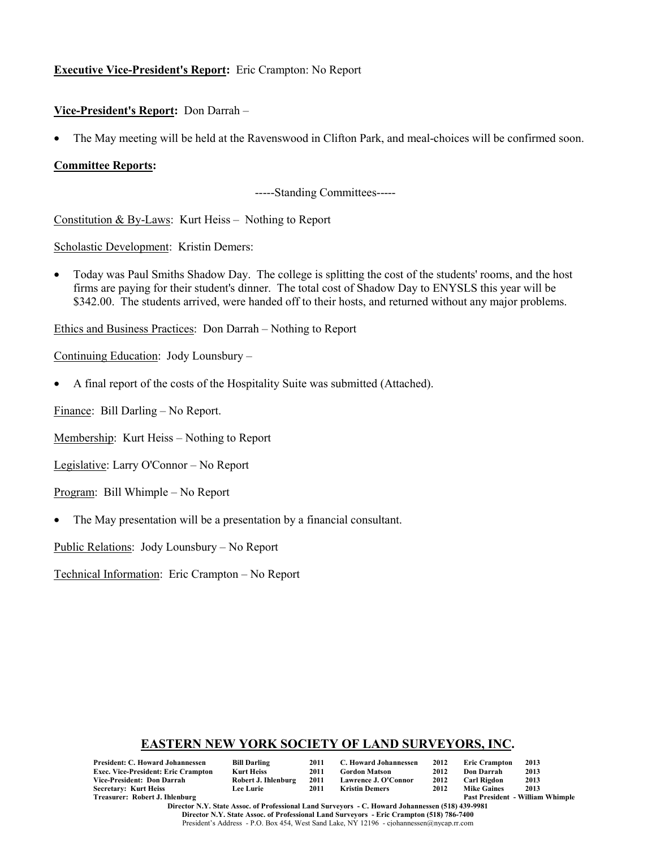## **Executive Vice-President's Report:** Eric Crampton: No Report

#### **Vice-President's Report:** Don Darrah –

• The May meeting will be held at the Ravenswood in Clifton Park, and meal-choices will be confirmed soon.

#### **Committee Reports:**

-----Standing Committees-----

Constitution & By-Laws: Kurt Heiss – Nothing to Report

Scholastic Development: Kristin Demers:

• Today was Paul Smiths Shadow Day. The college is splitting the cost of the students' rooms, and the host firms are paying for their student's dinner. The total cost of Shadow Day to ENYSLS this year will be \$342.00. The students arrived, were handed off to their hosts, and returned without any major problems.

Ethics and Business Practices: Don Darrah – Nothing to Report

Continuing Education: Jody Lounsbury –

• A final report of the costs of the Hospitality Suite was submitted (Attached).

Finance: Bill Darling – No Report.

Membership: Kurt Heiss – Nothing to Report

Legislative: Larry O'Connor – No Report

Program: Bill Whimple – No Report

• The May presentation will be a presentation by a financial consultant.

Public Relations: Jody Lounsbury – No Report

Technical Information: Eric Crampton – No Report

#### **EASTERN NEW YORK SOCIETY OF LAND SURVEYORS, INC.**

| President: C. Howard Johannessen    | <b>Bill Darling</b> | 2011 | C. Howard Johannessen | 2012 | <b>Eric Crampton</b> | 2013                                    |
|-------------------------------------|---------------------|------|-----------------------|------|----------------------|-----------------------------------------|
| Exec. Vice-President: Eric Crampton | <b>Kurt Heiss</b>   | 2011 | <b>Gordon Matson</b>  | 2012 | Don Darrah           | 2013                                    |
| Vice-President: Don Darrah          | Robert J. Ihlenburg | 2011 | Lawrence J. O'Connor  | 2012 | Carl Rigdon          | 2013                                    |
| Secretary: Kurt Heiss               | <b>Lee Lurie</b>    | 2011 | Kristin Demers        | 2012 | <b>Mike Gaines</b>   | 2013                                    |
| Treasurer: Robert J. Ihlenburg      |                     |      |                       |      |                      | <b>Past President - William Whimple</b> |

**Director N.Y. State Assoc. of Professional Land Surveyors - C. Howard Johannessen (518) 439-9981 Director N.Y. State Assoc. of Professional Land Surveyors - Eric Crampton (518) 786-7400** President's Address - P.O. Box 454, West Sand Lake, NY 12196 - cjohannessen@nycap.rr.com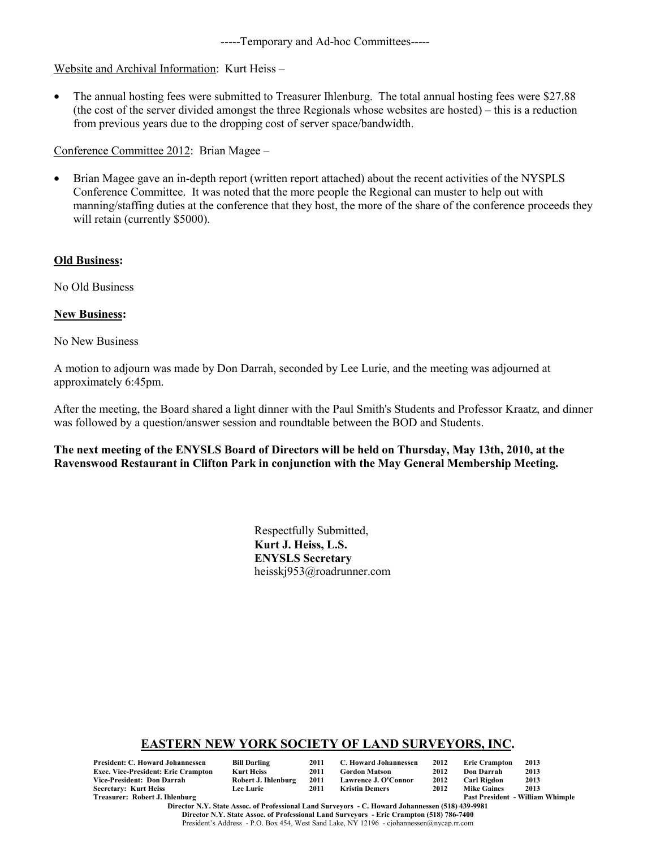-----Temporary and Ad-hoc Committees-----

### Website and Archival Information: Kurt Heiss –

• The annual hosting fees were submitted to Treasurer Ihlenburg. The total annual hosting fees were \$27.88 (the cost of the server divided amongst the three Regionals whose websites are hosted) – this is a reduction from previous years due to the dropping cost of server space/bandwidth.

Conference Committee 2012: Brian Magee –

• Brian Magee gave an in-depth report (written report attached) about the recent activities of the NYSPLS Conference Committee. It was noted that the more people the Regional can muster to help out with manning/staffing duties at the conference that they host, the more of the share of the conference proceeds they will retain (currently \$5000).

#### **Old Business:**

No Old Business

**New Business:**

No New Business

A motion to adjourn was made by Don Darrah, seconded by Lee Lurie, and the meeting was adjourned at approximately 6:45pm.

After the meeting, the Board shared a light dinner with the Paul Smith's Students and Professor Kraatz, and dinner was followed by a question/answer session and roundtable between the BOD and Students.

#### **The next meeting of the ENYSLS Board of Directors will be held on Thursday, May 13th, 2010, at the Ravenswood Restaurant in Clifton Park in conjunction with the May General Membership Meeting.**

Respectfully Submitted, **Kurt J. Heiss, L.S. ENYSLS Secretary** heisskj953@roadrunner.com

#### **EASTERN NEW YORK SOCIETY OF LAND SURVEYORS, INC.**

| President: C. Howard Johannessen           | <b>Bill Darling</b> | 2011 | C. Howard Johannessen |      | 2012 Eric Crampton | 2013                                    |
|--------------------------------------------|---------------------|------|-----------------------|------|--------------------|-----------------------------------------|
| <b>Exec. Vice-President: Eric Crampton</b> | <b>Kurt Heiss</b>   | 2011 | Gordon Matson         | 2012 | Don Darrah         | 2013                                    |
| Vice-President: Don Darrah                 | Robert J. Ihlenburg | 2011 | Lawrence J. O'Connor  | 2012 | Carl Rigdon        | 2013                                    |
| Secretary: Kurt Heiss                      | <b>Lee Lurie</b>    | 2011 | Kristin Demers        | 2012 | <b>Mike Gaines</b> | 2013                                    |
| Treasurer: Robert J. Ihlenburg             |                     |      |                       |      |                    | <b>Past President - William Whimple</b> |

**Director N.Y. State Assoc. of Professional Land Surveyors - C. Howard Johannessen (518) 439-9981 Director N.Y. State Assoc. of Professional Land Surveyors - Eric Crampton (518) 786-7400** President's Address - P.O. Box 454, West Sand Lake, NY 12196 - cjohannessen@nycap.rr.com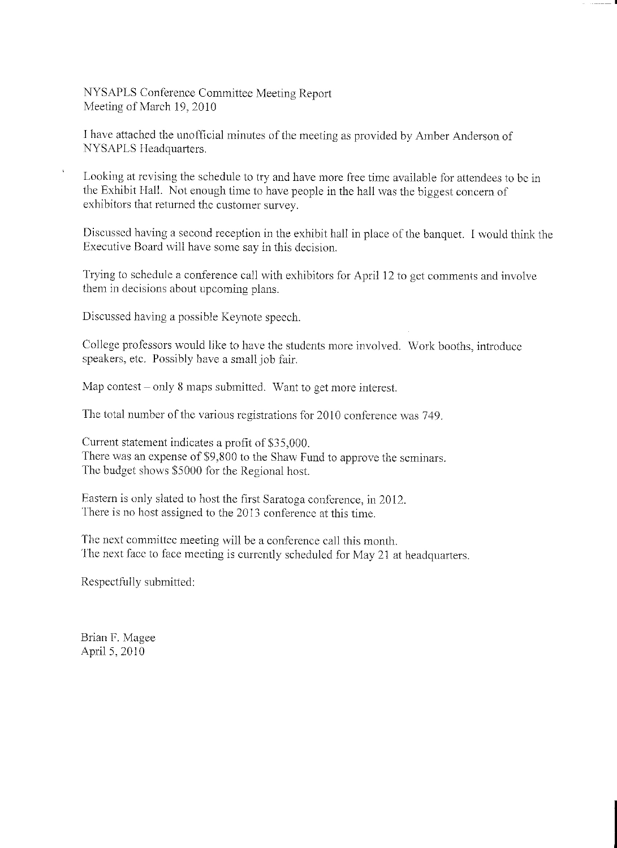NYSAPLS Conference Committee Meeting Report Meeting of March 19, 2010

I have attached the unofficial minutes of the meeting as provided by Amber Anderson of NYSAPLS Headquarters.

Looking at revising the schedule to try and have more free time available for attendees to be in the Exhibit Hall. Not enough time to have people in the hall was the biggest concern of exhibitors that returned the customer survey.

Discussed having a second reception in the exhibit hall in place of the banquet. I would think the Executive Board will have some say in this decision.

Trying to schedule a conference call with exhibitors for April 12 to get comments and involve them in decisions about upcoming plans.

Discussed having a possible Keynote speech.

College professors would like to have the students more involved. Work booths, introduce speakers, etc. Possibly have a small job fair.

Map contest – only 8 maps submitted. Want to get more interest.

The total number of the various registrations for 2010 conference was 749.

Current statement indicates a profit of \$35,000. There was an expense of \$9,800 to the Shaw Fund to approve the seminars. The budget shows \$5000 for the Regional host.

Eastern is only slated to host the first Saratoga conference, in 2012. There is no host assigned to the 2013 conference at this time.

The next committee meeting will be a conference call this month. The next face to face meeting is currently scheduled for May 21 at headquarters.

Respectfully submitted:

Brian F. Magee April 5, 2010